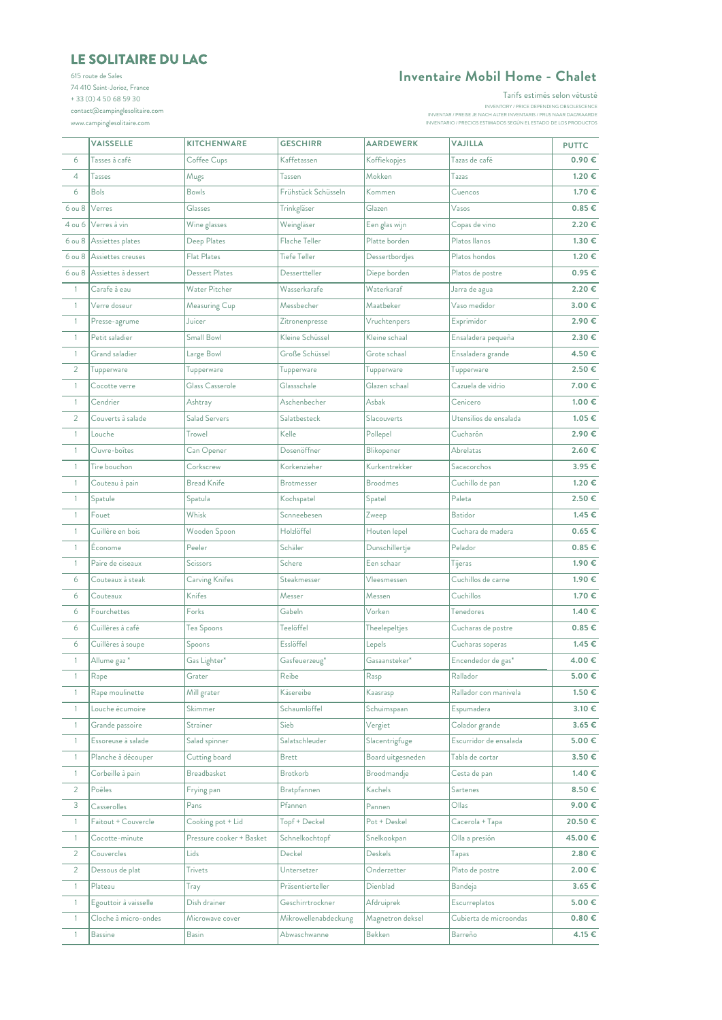## **[LE S](mailto:contact@campinglesolitaire.com)OLITAIRE DU LAC**

[615 ro](mailto:contact@campinglesolitaire.com)ute de Sales [74 41](mailto:contact@campinglesolitaire.com)0 Saint-Jorioz, France + 33 (0) 4 50 68 59 30 [contac](mailto:contact@campinglesolitaire.com)t@campinglesolitaire.com [www.c](mailto:contact@campinglesolitaire.com)ampinglesolitaire.com

## **Inventaire Mobil Home - Chalet**

Tarifs estimés selon vétusté

INVENTAR / PREISE JE NACH ALTER INVENTARIS / PRIJS NAAR DAGWAARDE<br>INVENTARIO / PRECIOS ESTIMADOS SEGÚN EL ESTADO DE LOS PRODUCTOS<br>INVENTARIO / PRECIOS ESTIMADOS SEGÚN EL ESTADO DE LOS PRODUCTOS

|                | <b>VAISSELLE</b>           | <b>KITCHENWARE</b>       | <b>GESCHIRR</b>      | <b>AARDEWERK</b>  | <b>VAJILLA</b>         | <b>PUTTC</b> |
|----------------|----------------------------|--------------------------|----------------------|-------------------|------------------------|--------------|
| 6              | Tasses à café              | Coffee Cups              | Kaffetassen          | Koffiekopjes      | Tazas de café          | 0.90€        |
| $\overline{4}$ | <b>Tasses</b>              | Mugs                     | Tassen               | Mokken            | Tazas                  | 1.20 €       |
| 6              | <b>Bols</b>                | <b>Bowls</b>             | Frühstück Schüsseln  | Kommen            | Cuencos                | 1.70 €       |
| 6 ou 8         | Verres                     | Glasses                  | Trinkgläser          | Glazen            | Vasos                  | $0.85 \in$   |
| 4 ou 6         | Verres à vin               | Wine glasses             | Weingläser           | Een glas wijn     | Copas de vino          | 2.20€        |
|                | 6 ou 8 Assiettes plates    | Deep Plates              | Flache Teller        | Platte borden     | Platos llanos          | 1.30 €       |
|                | 6 ou 8 Assiettes creuses   | Flat Plates              | Tiefe Teller         | Dessertbordjes    | Platos hondos          | 1.20 €       |
|                | 6 ou 8 Assiettes à dessert | Dessert Plates           | Dessertteller        | Diepe borden      | Platos de postre       | 0.95E        |
| $\mathbf{1}$   | Carafe à eau               | Water Pitcher            | Wasserkarafe         | Waterkaraf        | Jarra de agua          | 2.20€        |
| $\overline{1}$ | Verre doseur               | Measuring Cup            | Messbecher           | Maatbeker         | Vaso medidor           | 3.00€        |
| $\overline{1}$ | Presse-agrume              | Juicer                   | Zitronenpresse       | Vruchtenpers      | Exprimidor             | 2.90 €       |
| $\overline{1}$ | Petit saladier             | Small Bowl               | Kleine Schüssel      | Kleine schaal     | Ensaladera pequeña     | $2.30 \in$   |
| $\overline{1}$ | Grand saladier             | Large Bowl               | Große Schüssel       | Grote schaal      | Ensaladera grande      | 4.50 €       |
| $\overline{2}$ | Tupperware                 | Tupperware               | Tupperware           | Tupperware        | Tupperware             | 2.50 €       |
| $\overline{1}$ | Cocotte verre              | Glass Casserole          | Glassschale          | Glazen schaal     | Cazuela de vidrio      | 7.00 €       |
| $\overline{1}$ | Cendrier                   | Ashtray                  | Aschenbecher         | Asbak             | Cenicero               | 1.00 €       |
| $\overline{2}$ | Couverts à salade          | Salad Servers            | Salatbesteck         | Slacouverts       | Utensilios de ensalada | $1.05 \in$   |
| $\mathbf{1}$   | Louche                     | Trowel                   | Kelle                | Pollepel          | Cucharón               | 2.90 €       |
| $\mathbf{1}$   | Ouvre-boîtes               | Can Opener               | Dosenöffner          | Blikopener        | <b>Abrelatas</b>       | 2.60€        |
| $\overline{1}$ | Tire bouchon               | Corkscrew                | Korkenzieher         | Kurkentrekker     | Sacacorchos            | 3.95 €       |
| $\overline{1}$ | Couteau à pain             | <b>Bread Knife</b>       | Brotmesser           | <b>Broodmes</b>   | Cuchillo de pan        | 1.20 €       |
| $\overline{1}$ | Spatule                    | Spatula                  | Kochspatel           | Spatel            | Paleta                 | 2.50 €       |
| $\overline{1}$ | Fouet                      | Whisk                    | Scnneebesen          | Zweep             | <b>Batidor</b>         | $1.45 \in$   |
| $\overline{1}$ | Cuillère en bois           | Wooden Spoon             | Holzlöffel           | Houten lepel      | Cuchara de madera      | $0.65 \in$   |
| $\overline{1}$ | Econome                    | Peeler                   | Schäler              | Dunschillertje    | Pelador                | $0.85 \in$   |
| $\overline{1}$ | Paire de ciseaux           | Scissors                 | Schere               | Een schaar        | Tijeras                | 1.90 €       |
| 6              | Couteaux à steak           | Carving Knifes           | Steakmesser          | Vleesmessen       | Cuchillos de carne     | 1.90 €       |
| 6              | Couteaux                   | Knifes                   | Messer               | Messen            | Cuchillos              | 1.70 €       |
| 6              | Fourchettes                | Forks                    | Gabeln               | Vorken            | Tenedores              | 1.40 €       |
| 6              | Cuillères à café           | Tea Spoons               | Teelöffel            | Theelepeltjes     | Cucharas de postre     | $0.85 \in$   |
| 6              | Cuillères à soupe          | Spoons                   | Esslöffel            | Lepels            | Cucharas soperas       | $1.45 \in$   |
| $\mathbf{1}$   | Allume gaz <sup>*</sup>    | Gas Lighter*             | Gasfeuerzeug*        | Gasaansteker*     | Encendedor de gas*     | 4.00 €       |
| $\mathbf{1}$   | Rape                       | Grater                   | Reibe                | Rasp              | Rallador               | $5.00 \in$   |
| $\mathbf{1}$   | Rape moulinette            | Mill grater              | Käsereibe            | Kaasrasp          | Rallador con manivela  | 1.50 €       |
| $\overline{1}$ | Louche écumoire            | Skimmer                  | Schaumlöffel         | Schuimspaan       | Espumadera             | 3.10 €       |
| $\mathbf{1}$   | Grande passoire            | Strainer                 | Sieb                 | Vergiet           | Colador grande         | $3.65 \in$   |
| $\mathbf{1}$   | Essoreuse à salade         | Salad spinner            | Salatschleuder       | Slacentrigfuge    | Escurridor de ensalada | $5.00 \in$   |
| $\overline{1}$ | Planche à découper         | Cutting board            | Brett                | Board uitgesneden | Tabla de cortar        | $3.50 \in$   |
| $\overline{1}$ | Corbeille à pain           | Breadbasket              | <b>Brotkorb</b>      | Broodmandje       | Cesta de pan           | $1.40 \in$   |
| $\overline{2}$ | Poêles                     | Frying pan               | Bratpfannen          | Kachels           | Sartenes               | 8.50 €       |
| 3              | Casserolles                | Pans                     | Pfannen              | Pannen            | Ollas                  | 9.00 €       |
| $\mathbf{1}$   | Faitout + Couvercle        | Cooking pot + Lid        | Topf + Deckel        | Pot + Deskel      | Cacerola + Tapa        | 20.50 €      |
| $\mathbf{1}$   | Cocotte-minute             | Pressure cooker + Basket | Schnelkochtopf       | Snelkookpan       | Olla a presión         | 45.00 €      |
| $\overline{2}$ | Couvercles                 | Lids                     | Deckel               | Deskels           | Tapas                  | 2.80 €       |
| $\overline{2}$ | Dessous de plat            | <b>Trivets</b>           | Untersetzer          | Onderzetter       | Plato de postre        | $2.00 \in$   |
| $\mathbf{1}$   | Plateau                    | Tray                     | Präsentierteller     | Dienblad          | Bandeja                | $3.65 \in$   |
| $\overline{1}$ | Egouttoir à vaisselle      | Dish drainer             | Geschirrtrockner     | Afdruiprek        | Escurreplatos          | $5.00 \in$   |
| $\overline{1}$ | Cloche à micro-ondes       | Microwave cover          | Mikrowellenabdeckung | Magnetron deksel  | Cubierta de microondas | $0.80 \in$   |
| $\mathbf{1}$   | <b>Bassine</b>             | <b>Basin</b>             | Abwaschwanne         | Bekken            | Barreño                | 4.15 €       |